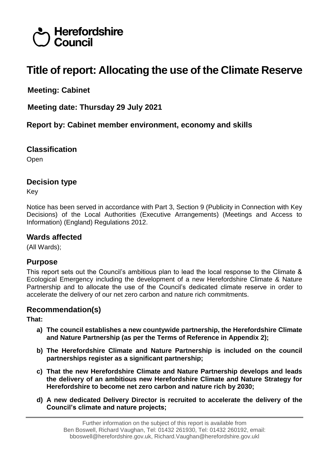

# **Title of report: Allocating the use of the Climate Reserve**

**Meeting: Cabinet**

**Meeting date: Thursday 29 July 2021**

**Report by: Cabinet member environment, economy and skills**

### **Classification**

**Open** 

### **Decision type**

Key

Notice has been served in accordance with Part 3, Section 9 (Publicity in Connection with Key Decisions) of the Local Authorities (Executive Arrangements) (Meetings and Access to Information) (England) Regulations 2012.

### **Wards affected**

(All Wards);

### **Purpose**

This report sets out the Council's ambitious plan to lead the local response to the Climate & Ecological Emergency including the development of a new Herefordshire Climate & Nature Partnership and to allocate the use of the Council's dedicated climate reserve in order to accelerate the delivery of our net zero carbon and nature rich commitments.

# **Recommendation(s)**

**That:**

- **a) The council establishes a new countywide partnership, the Herefordshire Climate and Nature Partnership (as per the Terms of Reference in Appendix 2);**
- **b) The Herefordshire Climate and Nature Partnership is included on the council partnerships register as a significant partnership;**
- **c) That the new Herefordshire Climate and Nature Partnership develops and leads the delivery of an ambitious new Herefordshire Climate and Nature Strategy for Herefordshire to become net zero carbon and nature rich by 2030;**
- **d) A new dedicated Delivery Director is recruited to accelerate the delivery of the Council's climate and nature projects;**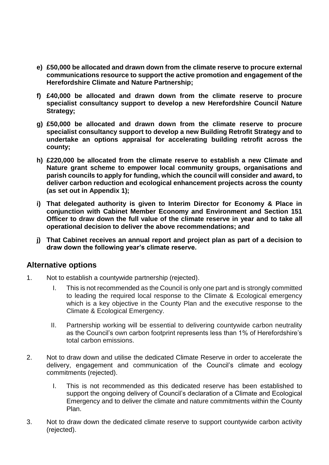- **e) £50,000 be allocated and drawn down from the climate reserve to procure external communications resource to support the active promotion and engagement of the Herefordshire Climate and Nature Partnership;**
- **f) £40,000 be allocated and drawn down from the climate reserve to procure specialist consultancy support to develop a new Herefordshire Council Nature Strategy;**
- **g) £50,000 be allocated and drawn down from the climate reserve to procure specialist consultancy support to develop a new Building Retrofit Strategy and to undertake an options appraisal for accelerating building retrofit across the county;**
- **h) £220,000 be allocated from the climate reserve to establish a new Climate and Nature grant scheme to empower local community groups, organisations and parish councils to apply for funding, which the council will consider and award, to deliver carbon reduction and ecological enhancement projects across the county (as set out in Appendix 1);**
- **i) That delegated authority is given to Interim Director for Economy & Place in conjunction with Cabinet Member Economy and Environment and Section 151 Officer to draw down the full value of the climate reserve in year and to take all operational decision to deliver the above recommendations; and**
- **j) That Cabinet receives an annual report and project plan as part of a decision to draw down the following year's climate reserve.**

### **Alternative options**

- 1. Not to establish a countywide partnership (rejected).
	- I. This is not recommended as the Council is only one part and is strongly committed to leading the required local response to the Climate & Ecological emergency which is a key objective in the County Plan and the executive response to the Climate & Ecological Emergency.
	- II. Partnership working will be essential to delivering countywide carbon neutrality as the Council's own carbon footprint represents less than 1% of Herefordshire's total carbon emissions.
- 2. Not to draw down and utilise the dedicated Climate Reserve in order to accelerate the delivery, engagement and communication of the Council's climate and ecology commitments (rejected).
	- I. This is not recommended as this dedicated reserve has been established to support the ongoing delivery of Council's declaration of a Climate and Ecological Emergency and to deliver the climate and nature commitments within the County Plan.
- 3. Not to draw down the dedicated climate reserve to support countywide carbon activity (rejected).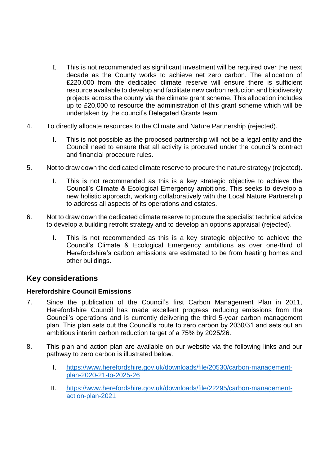- I. This is not recommended as significant investment will be required over the next decade as the County works to achieve net zero carbon. The allocation of £220,000 from the dedicated climate reserve will ensure there is sufficient resource available to develop and facilitate new carbon reduction and biodiversity projects across the county via the climate grant scheme. This allocation includes up to £20,000 to resource the administration of this grant scheme which will be undertaken by the council's Delegated Grants team.
- 4. To directly allocate resources to the Climate and Nature Partnership (rejected).
	- I. This is not possible as the proposed partnership will not be a legal entity and the Council need to ensure that all activity is procured under the council's contract and financial procedure rules.
- 5. Not to draw down the dedicated climate reserve to procure the nature strategy (rejected).
	- I. This is not recommended as this is a key strategic objective to achieve the Council's Climate & Ecological Emergency ambitions. This seeks to develop a new holistic approach, working collaboratively with the Local Nature Partnership to address all aspects of its operations and estates.
- 6. Not to draw down the dedicated climate reserve to procure the specialist technical advice to develop a building retrofit strategy and to develop an options appraisal (rejected).
	- I. This is not recommended as this is a key strategic objective to achieve the Council's Climate & Ecological Emergency ambitions as over one-third of Herefordshire's carbon emissions are estimated to be from heating homes and other buildings.

# **Key considerations**

### **Herefordshire Council Emissions**

- 7. Since the publication of the Council's first Carbon Management Plan in 2011, Herefordshire Council has made excellent progress reducing emissions from the Council's operations and is currently delivering the third 5-year carbon management plan. This plan sets out the Council's route to zero carbon by 2030/31 and sets out an ambitious interim carbon reduction target of a 75% by 2025/26.
- 8. This plan and action plan are available on our website via the following links and our pathway to zero carbon is illustrated below.
	- I. [https://www.herefordshire.gov.uk/downloads/file/20530/carbon-management](https://www.herefordshire.gov.uk/downloads/file/20530/carbon-management-plan-2020-21-to-2025-26)[plan-2020-21-to-2025-26](https://www.herefordshire.gov.uk/downloads/file/20530/carbon-management-plan-2020-21-to-2025-26)
	- II. [https://www.herefordshire.gov.uk/downloads/file/22295/carbon-management](https://www.herefordshire.gov.uk/downloads/file/22295/carbon-management-action-plan-2021)[action-plan-2021](https://www.herefordshire.gov.uk/downloads/file/22295/carbon-management-action-plan-2021)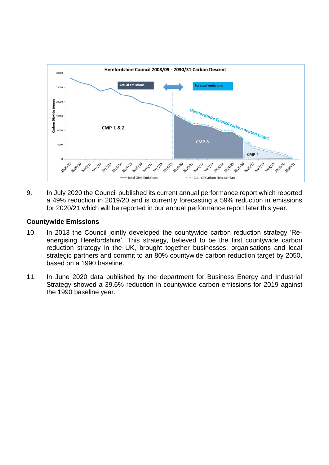

9. In July 2020 the Council published its current annual performance report which reported a 49% reduction in 2019/20 and is currently forecasting a 59% reduction in emissions for 2020/21 which will be reported in our annual performance report later this year.

#### **Countywide Emissions**

- 10. In 2013 the Council jointly developed the countywide carbon reduction strategy 'Reenergising Herefordshire'. This strategy, believed to be the first countywide carbon reduction strategy in the UK, brought together businesses, organisations and local strategic partners and commit to an 80% countywide carbon reduction target by 2050, based on a 1990 baseline.
- 11. In June 2020 data published by the department for Business Energy and Industrial Strategy showed a 39.6% reduction in countywide carbon emissions for 2019 against the 1990 baseline year.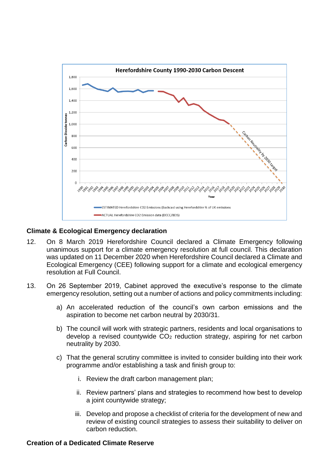

#### **Climate & Ecological Emergency declaration**

- 12. On 8 March 2019 Herefordshire Council declared a Climate Emergency following unanimous support for a climate emergency resolution at full council. This declaration was updated on 11 December 2020 when Herefordshire Council declared a Climate and Ecological Emergency (CEE) following support for a climate and ecological emergency resolution at Full Council.
- 13. On 26 September 2019, Cabinet approved the executive's response to the climate emergency resolution, setting out a number of actions and policy commitments including:
	- a) An accelerated reduction of the council's own carbon emissions and the aspiration to become net carbon neutral by 2030/31.
	- b) The council will work with strategic partners, residents and local organisations to develop a revised countywide  $CO<sub>2</sub>$  reduction strategy, aspiring for net carbon neutrality by 2030.
	- c) That the general scrutiny committee is invited to consider building into their work programme and/or establishing a task and finish group to:
		- i. Review the draft carbon management plan;
		- ii. Review partners' plans and strategies to recommend how best to develop a joint countywide strategy;
		- iii. Develop and propose a checklist of criteria for the development of new and review of existing council strategies to assess their suitability to deliver on carbon reduction.

#### **Creation of a Dedicated Climate Reserve**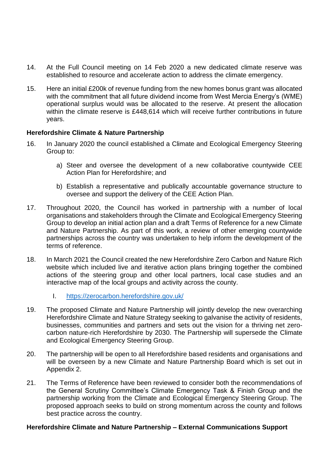- 14. At the Full Council meeting on 14 Feb 2020 a new dedicated climate reserve was established to resource and accelerate action to address the climate emergency.
- 15. Here an initial £200k of revenue funding from the new homes bonus grant was allocated with the commitment that all future dividend income from West Mercia Energy's (WME) operational surplus would was be allocated to the reserve. At present the allocation within the climate reserve is £448,614 which will receive further contributions in future years.

#### **Herefordshire Climate & Nature Partnership**

- 16. In January 2020 the council established a Climate and Ecological Emergency Steering Group to:
	- a) Steer and oversee the development of a new collaborative countywide CEE Action Plan for Herefordshire; and
	- b) Establish a representative and publically accountable governance structure to oversee and support the delivery of the CEE Action Plan.
- 17. Throughout 2020, the Council has worked in partnership with a number of local organisations and stakeholders through the Climate and Ecological Emergency Steering Group to develop an initial action plan and a draft Terms of Reference for a new Climate and Nature Partnership. As part of this work, a review of other emerging countywide partnerships across the country was undertaken to help inform the development of the terms of reference.
- 18. In March 2021 the Council created the new Herefordshire Zero Carbon and Nature Rich website which included live and iterative action plans bringing together the combined actions of the steering group and other local partners, local case studies and an interactive map of the local groups and activity across the county.
	- I. <https://zerocarbon.herefordshire.gov.uk/>
- 19. The proposed Climate and Nature Partnership will jointly develop the new overarching Herefordshire Climate and Nature Strategy seeking to galvanise the activity of residents, businesses, communities and partners and sets out the vision for a thriving net zerocarbon nature-rich Herefordshire by 2030. The Partnership will supersede the Climate and Ecological Emergency Steering Group.
- 20. The partnership will be open to all Herefordshire based residents and organisations and will be overseen by a new Climate and Nature Partnership Board which is set out in Appendix 2.
- 21. The Terms of Reference have been reviewed to consider both the recommendations of the General Scrutiny Committee's Climate Emergency Task & Finish Group and the partnership working from the Climate and Ecological Emergency Steering Group. The proposed approach seeks to build on strong momentum across the county and follows best practice across the country.

#### **Herefordshire Climate and Nature Partnership – External Communications Support**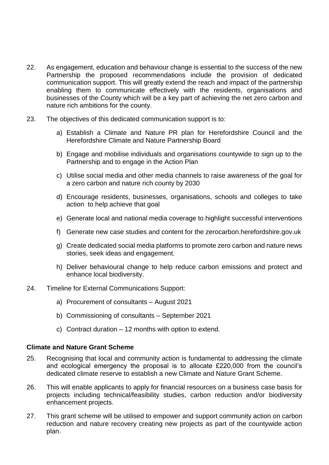- 22. As engagement, education and behaviour change is essential to the success of the new Partnership the proposed recommendations include the provision of dedicated communication support. This will greatly extend the reach and impact of the partnership enabling them to communicate effectively with the residents, organisations and businesses of the County which will be a key part of achieving the net zero carbon and nature rich ambitions for the county.
- 23. The objectives of this dedicated communication support is to:
	- a) Establish a Climate and Nature PR plan for Herefordshire Council and the Herefordshire Climate and Nature Partnership Board
	- b) Engage and mobilise individuals and organisations countywide to sign up to the Partnership and to engage in the Action Plan
	- c) Utilise social media and other media channels to raise awareness of the goal for a zero carbon and nature rich county by 2030
	- d) Encourage residents, businesses, organisations, schools and colleges to take action to help achieve that goal
	- e) Generate local and national media coverage to highlight successful interventions
	- f) Generate new case studies and content for the zerocarbon.herefordshire.gov.uk
	- g) Create dedicated social media platforms to promote zero carbon and nature news stories, seek ideas and engagement.
	- h) Deliver behavioural change to help reduce carbon emissions and protect and enhance local biodiversity.
- 24. Timeline for External Communications Support:
	- a) Procurement of consultants August 2021
	- b) Commissioning of consultants September 2021
	- c) Contract duration 12 months with option to extend.

#### **Climate and Nature Grant Scheme**

- 25. Recognising that local and community action is fundamental to addressing the climate and ecological emergency the proposal is to allocate £220,000 from the council's dedicated climate reserve to establish a new Climate and Nature Grant Scheme.
- 26. This will enable applicants to apply for financial resources on a business case basis for projects including technical/feasibility studies, carbon reduction and/or biodiversity enhancement projects.
- 27. This grant scheme will be utilised to empower and support community action on carbon reduction and nature recovery creating new projects as part of the countywide action plan.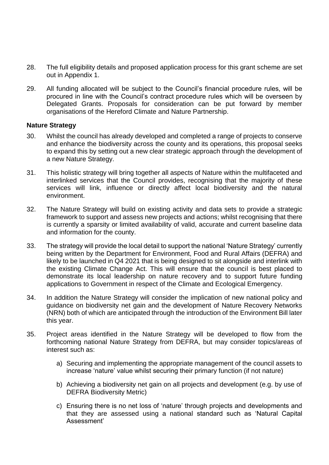- 28. The full eligibility details and proposed application process for this grant scheme are set out in Appendix 1.
- 29. All funding allocated will be subject to the Council's financial procedure rules, will be procured in line with the Council's contract procedure rules which will be overseen by Delegated Grants. Proposals for consideration can be put forward by member organisations of the Hereford Climate and Nature Partnership.

#### **Nature Strategy**

- 30. Whilst the council has already developed and completed a range of projects to conserve and enhance the biodiversity across the county and its operations, this proposal seeks to expand this by setting out a new clear strategic approach through the development of a new Nature Strategy.
- 31. This holistic strategy will bring together all aspects of Nature within the multifaceted and interlinked services that the Council provides, recognising that the majority of these services will link, influence or directly affect local biodiversity and the natural environment.
- 32. The Nature Strategy will build on existing activity and data sets to provide a strategic framework to support and assess new projects and actions; whilst recognising that there is currently a sparsity or limited availability of valid, accurate and current baseline data and information for the county.
- 33. The strategy will provide the local detail to support the national 'Nature Strategy' currently being written by the Department for Environment, Food and Rural Affairs (DEFRA) and likely to be launched in Q4 2021 that is being designed to sit alongside and interlink with the existing Climate Change Act. This will ensure that the council is best placed to demonstrate its local leadership on nature recovery and to support future funding applications to Government in respect of the Climate and Ecological Emergency.
- 34. In addition the Nature Strategy will consider the implication of new national policy and guidance on biodiversity net gain and the development of Nature Recovery Networks (NRN) both of which are anticipated through the introduction of the Environment Bill later this year.
- 35. Project areas identified in the Nature Strategy will be developed to flow from the forthcoming national Nature Strategy from DEFRA, but may consider topics/areas of interest such as:
	- a) Securing and implementing the appropriate management of the council assets to increase 'nature' value whilst securing their primary function (if not nature)
	- b) Achieving a biodiversity net gain on all projects and development (e.g. by use of DEFRA Biodiversity Metric)
	- c) Ensuring there is no net loss of 'nature' through projects and developments and that they are assessed using a national standard such as 'Natural Capital Assessment'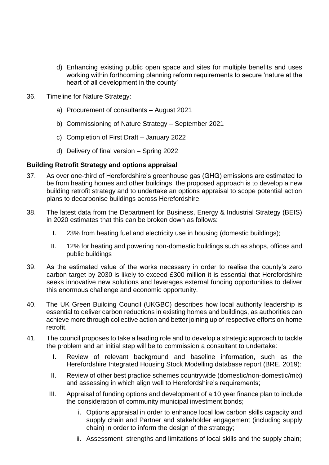- d) Enhancing existing public open space and sites for multiple benefits and uses working within forthcoming planning reform requirements to secure 'nature at the heart of all development in the county'
- 36. Timeline for Nature Strategy:
	- a) Procurement of consultants August 2021
	- b) Commissioning of Nature Strategy September 2021
	- c) Completion of First Draft January 2022
	- d) Delivery of final version Spring 2022

#### **Building Retrofit Strategy and options appraisal**

- 37. As over one-third of Herefordshire's greenhouse gas (GHG) emissions are estimated to be from heating homes and other buildings, the proposed approach is to develop a new building retrofit strategy and to undertake an options appraisal to scope potential action plans to decarbonise buildings across Herefordshire.
- 38. The latest data from the Department for Business, Energy & Industrial Strategy (BEIS) in 2020 estimates that this can be broken down as follows:
	- I. 23% from heating fuel and electricity use in housing (domestic buildings);
	- II. 12% for heating and powering non-domestic buildings such as shops, offices and public buildings
- 39. As the estimated value of the works necessary in order to realise the county's zero carbon target by 2030 is likely to exceed £300 million it is essential that Herefordshire seeks innovative new solutions and leverages external funding opportunities to deliver this enormous challenge and economic opportunity.
- 40. The UK Green Building Council (UKGBC) describes how local authority leadership is essential to deliver carbon reductions in existing homes and buildings, as authorities can achieve more through collective action and better joining up of respective efforts on home retrofit.
- 41. The council proposes to take a leading role and to develop a strategic approach to tackle the problem and an initial step will be to commission a consultant to undertake:
	- I. Review of relevant background and baseline information, such as the Herefordshire Integrated Housing Stock Modelling database report (BRE, 2019);
	- II. Review of other best practice schemes countrywide (domestic/non-domestic/mix) and assessing in which align well to Herefordshire's requirements;
	- III. Appraisal of funding options and development of a 10 year finance plan to include the consideration of community municipal investment bonds;
		- i. Options appraisal in order to enhance local low carbon skills capacity and supply chain and Partner and stakeholder engagement (including supply chain) in order to inform the design of the strategy;
		- ii. Assessment strengths and limitations of local skills and the supply chain;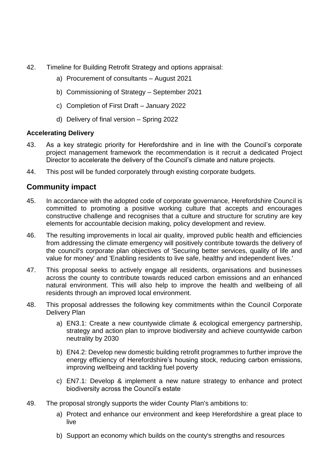- 42. Timeline for Building Retrofit Strategy and options appraisal:
	- a) Procurement of consultants August 2021
	- b) Commissioning of Strategy September 2021
	- c) Completion of First Draft January 2022
	- d) Delivery of final version Spring 2022

#### **Accelerating Delivery**

- 43. As a key strategic priority for Herefordshire and in line with the Council's corporate project management framework the recommendation is it recruit a dedicated Project Director to accelerate the delivery of the Council's climate and nature projects.
- 44. This post will be funded corporately through existing corporate budgets.

## **Community impact**

- 45. In accordance with the adopted code of corporate governance, Herefordshire Council is committed to promoting a positive working culture that accepts and encourages constructive challenge and recognises that a culture and structure for scrutiny are key elements for accountable decision making, policy development and review.
- 46. The resulting improvements in local air quality, improved public health and efficiencies from addressing the climate emergency will positively contribute towards the delivery of the council's corporate plan objectives of 'Securing better services, quality of life and value for money' and 'Enabling residents to live safe, healthy and independent lives.'
- 47. This proposal seeks to actively engage all residents, organisations and businesses across the county to contribute towards reduced carbon emissions and an enhanced natural environment. This will also help to improve the health and wellbeing of all residents through an improved local environment.
- 48. This proposal addresses the following key commitments within the Council Corporate Delivery Plan
	- a) EN3.1: Create a new countywide climate & ecological emergency partnership, strategy and action plan to improve biodiversity and achieve countywide carbon neutrality by 2030
	- b) EN4.2: Develop new domestic building retrofit programmes to further improve the energy efficiency of Herefordshire's housing stock, reducing carbon emissions, improving wellbeing and tackling fuel poverty
	- c) EN7.1: Develop & implement a new nature strategy to enhance and protect biodiversity across the Council's estate
- 49. The proposal strongly supports the wider County Plan's ambitions to:
	- a) Protect and enhance our environment and keep Herefordshire a great place to live
	- b) Support an economy which builds on the county's strengths and resources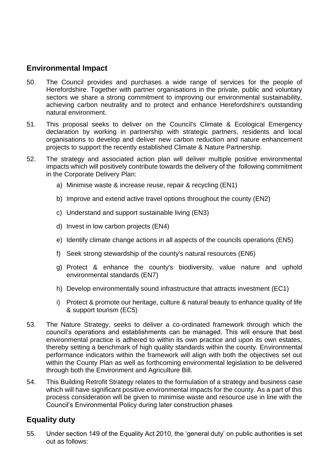# **Environmental Impact**

- 50. The Council provides and purchases a wide range of services for the people of Herefordshire. Together with partner organisations in the private, public and voluntary sectors we share a strong commitment to improving our environmental sustainability, achieving carbon neutrality and to protect and enhance Herefordshire's outstanding natural environment.
- 51. This proposal seeks to deliver on the Council's Climate & Ecological Emergency declaration by working in partnership with strategic partners, residents and local organisations to develop and deliver new carbon reduction and nature enhancement projects to support the recently established Climate & Nature Partnership.
- 52. The strategy and associated action plan will deliver multiple positive environmental impacts which will positively contribute towards the delivery of the following commitment in the Corporate Delivery Plan:
	- a) Minimise waste & increase reuse, repair & recycling (EN1)
	- b) Improve and extend active travel options throughout the county (EN2)
	- c) Understand and support sustainable living (EN3)
	- d) Invest in low carbon projects (EN4)
	- e) Identify climate change actions in all aspects of the councils operations (EN5)
	- f) Seek strong stewardship of the county's natural resources (EN6)
	- g) Protect & enhance the county's biodiversity, value nature and uphold environmental standards (EN7)
	- h) Develop environmentally sound infrastructure that attracts investment (EC1)
	- i) Protect & promote our heritage, culture & natural beauty to enhance quality of life & support tourism (EC5)
- 53. The Nature Strategy, seeks to deliver a co-ordinated framework through which the council's operations and establishments can be managed. This will ensure that best environmental practice is adhered to within its own practice and upon its own estates, thereby setting a benchmark of high quality standards within the county. Environmental performance indicators within the framework will align with both the objectives set out within the County Plan as well as forthcoming environmental legislation to be delivered through both the Environment and Agriculture Bill.
- 54. This Building Retrofit Strategy relates to the formulation of a strategy and business case which will have significant positive environmental impacts for the county. As a part of this process consideration will be given to minimise waste and resource use in line with the Council's Environmental Policy during later construction phases

# **Equality duty**

55. Under section 149 of the Equality Act 2010, the 'general duty' on public authorities is set out as follows: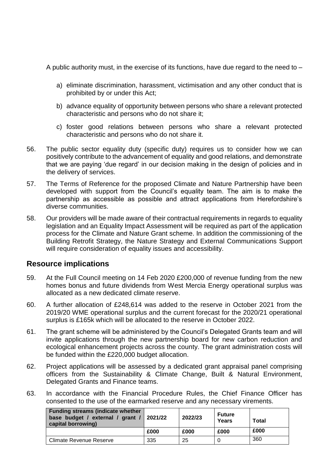A public authority must, in the exercise of its functions, have due regard to the need to –

- a) eliminate discrimination, harassment, victimisation and any other conduct that is prohibited by or under this Act;
- b) advance equality of opportunity between persons who share a relevant protected characteristic and persons who do not share it;
- c) foster good relations between persons who share a relevant protected characteristic and persons who do not share it.
- 56. The public sector equality duty (specific duty) requires us to consider how we can positively contribute to the advancement of equality and good relations, and demonstrate that we are paying 'due regard' in our decision making in the design of policies and in the delivery of services.
- 57. The Terms of Reference for the proposed Climate and Nature Partnership have been developed with support from the Council's equality team. The aim is to make the partnership as accessible as possible and attract applications from Herefordshire's diverse communities.
- 58. Our providers will be made aware of their contractual requirements in regards to equality legislation and an Equality Impact Assessment will be required as part of the application process for the Climate and Nature Grant scheme. In addition the commissioning of the Building Retrofit Strategy, the Nature Strategy and External Communications Support will require consideration of equality issues and accessibility.

### **Resource implications**

- 59. At the Full Council meeting on 14 Feb 2020 £200,000 of revenue funding from the new homes bonus and future dividends from West Mercia Energy operational surplus was allocated as a new dedicated climate reserve.
- 60. A further allocation of £248,614 was added to the reserve in October 2021 from the 2019/20 WME operational surplus and the current forecast for the 2020/21 operational surplus is £165k which will be allocated to the reserve in October 2022.
- 61. The grant scheme will be administered by the Council's Delegated Grants team and will invite applications through the new partnership board for new carbon reduction and ecological enhancement projects across the county. The grant administration costs will be funded within the £220,000 budget allocation.
- 62. Project applications will be assessed by a dedicated grant appraisal panel comprising officers from the Sustainability & Climate Change, Built & Natural Environment, Delegated Grants and Finance teams.
- 63. In accordance with the Financial Procedure Rules, the Chief Finance Officer has consented to the use of the earmarked reserve and any necessary virements.

| <b>Funding streams (indicate whether</b><br>base budget / external / grant /<br>capital borrowing) | 2021/22 | 2022/23 | <b>Future</b><br>Years | <b>Total</b> |
|----------------------------------------------------------------------------------------------------|---------|---------|------------------------|--------------|
|                                                                                                    | £000    | £000    | £000                   | £000         |
| Climate Revenue Reserve                                                                            | 335     | 25      |                        | 360          |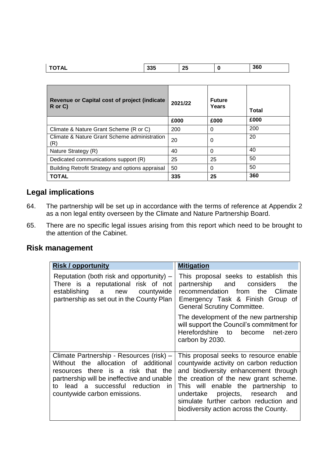| <b>TOTAL</b> | $\sim$<br>ააა | つに<br>2J | 360 |
|--------------|---------------|----------|-----|
|              |               |          |     |

| Revenue or Capital cost of project (indicate<br>$R$ or $C$ ) | 2021/22 | <b>Future</b><br>Years | Total |
|--------------------------------------------------------------|---------|------------------------|-------|
|                                                              | £000    | £000                   | £000  |
| Climate & Nature Grant Scheme (R or C)                       | 200     | $\Omega$               | 200   |
| Climate & Nature Grant Scheme administration<br>(R)          | 20      | 0                      | 20    |
| Nature Strategy (R)                                          | 40      | $\Omega$               | 40    |
| Dedicated communications support (R)                         | 25      | 25                     | 50    |
| Building Retrofit Strategy and options appraisal             | 50      | $\Omega$               | 50    |
| <b>TOTAL</b>                                                 | 335     | 25                     | 360   |

# **Legal implications**

- 64. The partnership will be set up in accordance with the terms of reference at Appendix 2 as a non legal entity overseen by the Climate and Nature Partnership Board.
- 65. There are no specific legal issues arising from this report which need to be brought to the attention of the Cabinet.

# **Risk management**

| <b>Risk/opportunity</b>                                                                                                                                                                                                                          | <b>Mitigation</b>                                                                                                                                                                                                                                                                                                                      |
|--------------------------------------------------------------------------------------------------------------------------------------------------------------------------------------------------------------------------------------------------|----------------------------------------------------------------------------------------------------------------------------------------------------------------------------------------------------------------------------------------------------------------------------------------------------------------------------------------|
| Reputation (both risk and opportunity) –<br>There is a reputational risk of not<br>establishing a new countywide<br>partnership as set out in the County Plan                                                                                    | This proposal seeks to establish<br>this<br>partnership and considers<br>the<br>recommendation from<br>the<br>Climate<br>Emergency Task & Finish Group of<br><b>General Scrutiny Committee.</b>                                                                                                                                        |
|                                                                                                                                                                                                                                                  | The development of the new partnership<br>will support the Council's commitment for<br>Herefordshire to<br>become<br>net-zero<br>carbon by 2030.                                                                                                                                                                                       |
| Climate Partnership - Resources (risk) -<br>Without the allocation of additional<br>resources there is a risk that the<br>partnership will be ineffective and unable<br>lead a successful reduction<br>in.<br>t٥<br>countywide carbon emissions. | This proposal seeks to resource enable<br>countywide activity on carbon reduction<br>and biodiversity enhancement through<br>the creation of the new grant scheme.<br>This will enable the partnership to<br>projects, research<br>undertake<br>and<br>simulate further carbon reduction and<br>biodiversity action across the County. |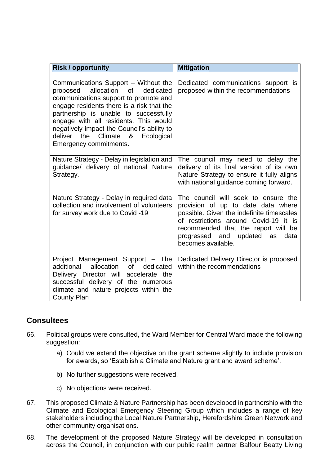| <b>Risk / opportunity</b>                                                                                                                                                                                                                                                                                                                                             | <b>Mitigation</b>                                                                                                                                                                                                                                                    |
|-----------------------------------------------------------------------------------------------------------------------------------------------------------------------------------------------------------------------------------------------------------------------------------------------------------------------------------------------------------------------|----------------------------------------------------------------------------------------------------------------------------------------------------------------------------------------------------------------------------------------------------------------------|
| Communications Support - Without the<br>allocation<br>proposed<br>of<br>dedicated<br>communications support to promote and<br>engage residents there is a risk that the<br>partnership is unable to successfully<br>engage with all residents. This would<br>negatively impact the Council's ability to<br>deliver the Climate & Ecological<br>Emergency commitments. | Dedicated communications support is<br>proposed within the recommendations                                                                                                                                                                                           |
| Nature Strategy - Delay in legislation and<br>guidance/ delivery of national Nature<br>Strategy.                                                                                                                                                                                                                                                                      | The council may need to delay the<br>delivery of its final version of its own<br>Nature Strategy to ensure it fully aligns<br>with national guidance coming forward.                                                                                                 |
| Nature Strategy - Delay in required data<br>collection and involvement of volunteers<br>for survey work due to Covid -19                                                                                                                                                                                                                                              | The council will seek to ensure the<br>provision of up to date data where<br>possible. Given the indefinite timescales<br>of restrictions around Covid-19 it is<br>recommended that the report will be<br>progressed and<br>updated as<br>data<br>becomes available. |
| Project Management Support - The<br>allocation<br>of<br>additional<br>dedicated<br>Delivery Director will accelerate the<br>successful delivery of the numerous<br>climate and nature projects within the<br><b>County Plan</b>                                                                                                                                       | Dedicated Delivery Director is proposed<br>within the recommendations                                                                                                                                                                                                |

### **Consultees**

- 66. Political groups were consulted, the Ward Member for Central Ward made the following suggestion:
	- a) Could we extend the objective on the grant scheme slightly to include provision for awards, so 'Establish a Climate and Nature grant and award scheme'.
	- b) No further suggestions were received.
	- c) No objections were received.
- 67. This proposed Climate & Nature Partnership has been developed in partnership with the Climate and Ecological Emergency Steering Group which includes a range of key stakeholders including the Local Nature Partnership, Herefordshire Green Network and other community organisations.
- 68. The development of the proposed Nature Strategy will be developed in consultation across the Council, in conjunction with our public realm partner Balfour Beatty Living